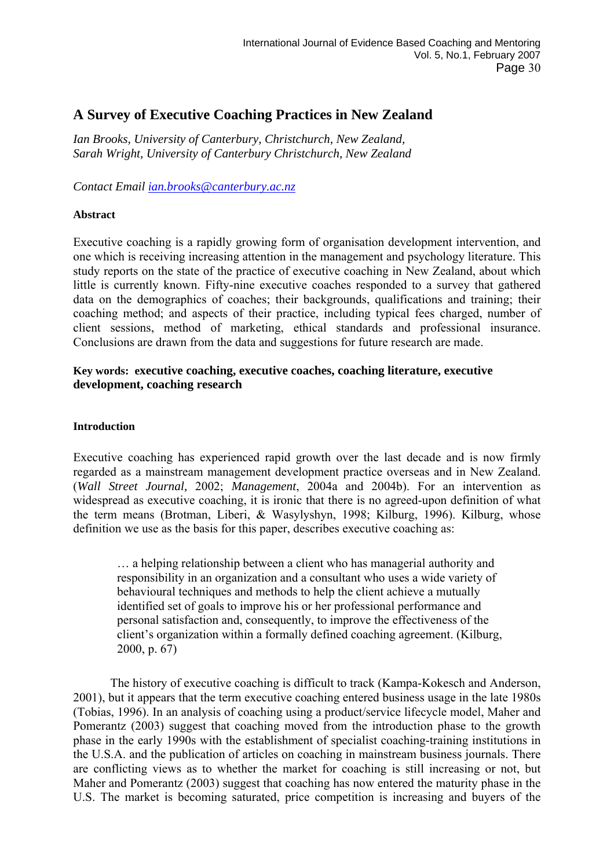# **A Survey of Executive Coaching Practices in New Zealand**

*Ian Brooks, University of Canterbury, Christchurch, New Zealand, Sarah Wright, University of Canterbury Christchurch, New Zealand* 

*Contact Email [ian.brooks@canterbury.ac.nz](mailto:ian.brooks@canterbury.ac.nz)*

## **Abstract**

Executive coaching is a rapidly growing form of organisation development intervention, and one which is receiving increasing attention in the management and psychology literature. This study reports on the state of the practice of executive coaching in New Zealand, about which little is currently known. Fifty-nine executive coaches responded to a survey that gathered data on the demographics of coaches; their backgrounds, qualifications and training; their coaching method; and aspects of their practice, including typical fees charged, number of client sessions, method of marketing, ethical standards and professional insurance. Conclusions are drawn from the data and suggestions for future research are made.

## **Key words: executive coaching, executive coaches, coaching literature, executive development, coaching research**

### **Introduction**

Executive coaching has experienced rapid growth over the last decade and is now firmly regarded as a mainstream management development practice overseas and in New Zealand. (*Wall Street Journal,* 2002; *Management*, 2004a and 2004b). For an intervention as widespread as executive coaching, it is ironic that there is no agreed-upon definition of what the term means (Brotman, Liberi, & Wasylyshyn, 1998; Kilburg, 1996). Kilburg, whose definition we use as the basis for this paper, describes executive coaching as:

… a helping relationship between a client who has managerial authority and responsibility in an organization and a consultant who uses a wide variety of behavioural techniques and methods to help the client achieve a mutually identified set of goals to improve his or her professional performance and personal satisfaction and, consequently, to improve the effectiveness of the client's organization within a formally defined coaching agreement. (Kilburg, 2000, p. 67)

 The history of executive coaching is difficult to track (Kampa-Kokesch and Anderson, 2001), but it appears that the term executive coaching entered business usage in the late 1980s (Tobias, 1996). In an analysis of coaching using a product/service lifecycle model, Maher and Pomerantz (2003) suggest that coaching moved from the introduction phase to the growth phase in the early 1990s with the establishment of specialist coaching-training institutions in the U.S.A. and the publication of articles on coaching in mainstream business journals. There are conflicting views as to whether the market for coaching is still increasing or not, but Maher and Pomerantz (2003) suggest that coaching has now entered the maturity phase in the U.S. The market is becoming saturated, price competition is increasing and buyers of the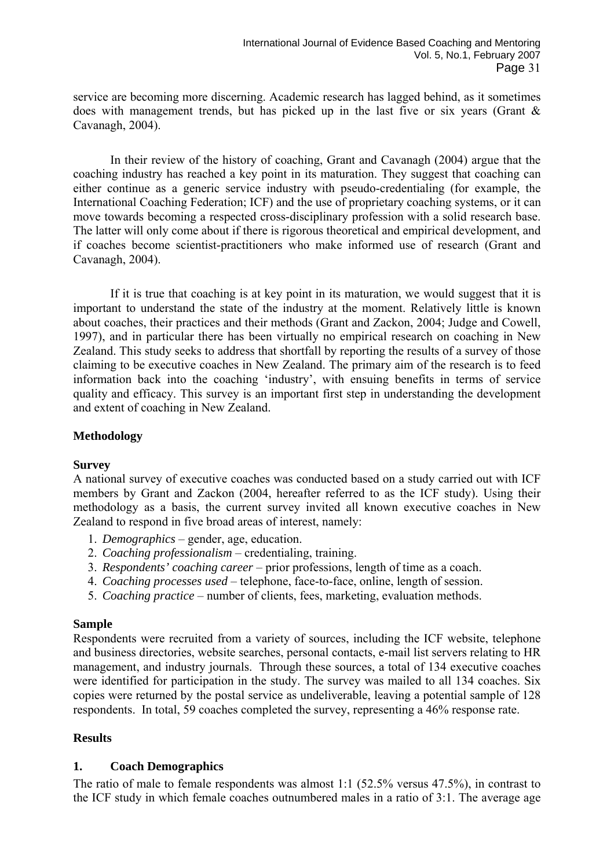service are becoming more discerning. Academic research has lagged behind, as it sometimes does with management trends, but has picked up in the last five or six years (Grant & Cavanagh, 2004).

 In their review of the history of coaching, Grant and Cavanagh (2004) argue that the coaching industry has reached a key point in its maturation. They suggest that coaching can either continue as a generic service industry with pseudo-credentialing (for example, the International Coaching Federation; ICF) and the use of proprietary coaching systems, or it can move towards becoming a respected cross-disciplinary profession with a solid research base. The latter will only come about if there is rigorous theoretical and empirical development, and if coaches become scientist-practitioners who make informed use of research (Grant and Cavanagh, 2004).

 If it is true that coaching is at key point in its maturation, we would suggest that it is important to understand the state of the industry at the moment. Relatively little is known about coaches, their practices and their methods (Grant and Zackon, 2004; Judge and Cowell, 1997), and in particular there has been virtually no empirical research on coaching in New Zealand. This study seeks to address that shortfall by reporting the results of a survey of those claiming to be executive coaches in New Zealand. The primary aim of the research is to feed information back into the coaching 'industry', with ensuing benefits in terms of service quality and efficacy. This survey is an important first step in understanding the development and extent of coaching in New Zealand.

# **Methodology**

### **Survey**

A national survey of executive coaches was conducted based on a study carried out with ICF members by Grant and Zackon (2004, hereafter referred to as the ICF study). Using their methodology as a basis, the current survey invited all known executive coaches in New Zealand to respond in five broad areas of interest, namely:

- 1. *Demographics*  gender, age, education.
- 2. *Coaching professionalism* credentialing, training.
- 3. *Respondents' coaching career* prior professions, length of time as a coach.
- 4. *Coaching processes used*  telephone, face-to-face, online, length of session.
- 5. *Coaching practice*  number of clients, fees, marketing, evaluation methods.

### **Sample**

Respondents were recruited from a variety of sources, including the ICF website, telephone and business directories, website searches, personal contacts, e-mail list servers relating to HR management, and industry journals. Through these sources, a total of 134 executive coaches were identified for participation in the study. The survey was mailed to all 134 coaches. Six copies were returned by the postal service as undeliverable, leaving a potential sample of 128 respondents. In total, 59 coaches completed the survey, representing a 46% response rate.

# **Results**

# **1. Coach Demographics**

The ratio of male to female respondents was almost 1:1 (52.5% versus 47.5%), in contrast to the ICF study in which female coaches outnumbered males in a ratio of 3:1. The average age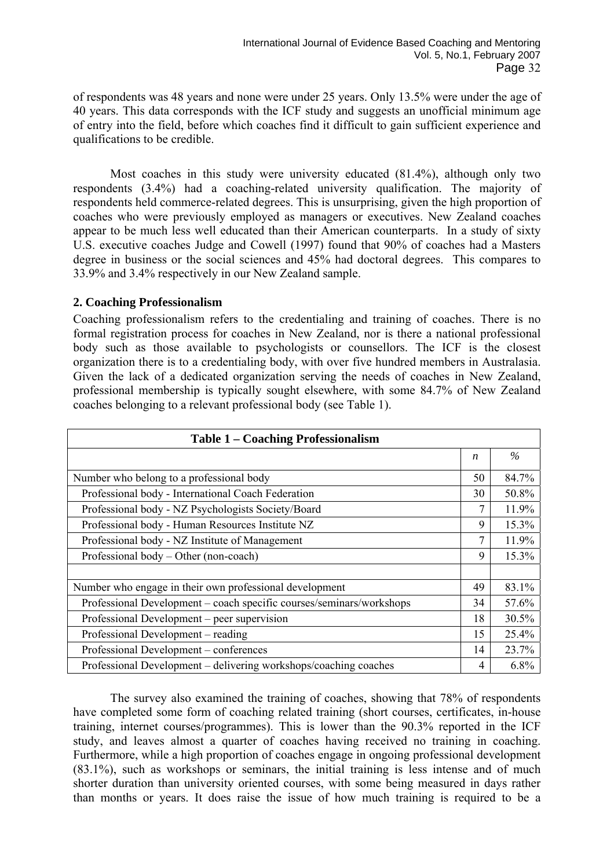of respondents was 48 years and none were under 25 years. Only 13.5% were under the age of 40 years. This data corresponds with the ICF study and suggests an unofficial minimum age of entry into the field, before which coaches find it difficult to gain sufficient experience and qualifications to be credible.

 Most coaches in this study were university educated (81.4%), although only two respondents (3.4%) had a coaching-related university qualification. The majority of respondents held commerce-related degrees. This is unsurprising, given the high proportion of coaches who were previously employed as managers or executives. New Zealand coaches appear to be much less well educated than their American counterparts. In a study of sixty U.S. executive coaches Judge and Cowell (1997) found that 90% of coaches had a Masters degree in business or the social sciences and 45% had doctoral degrees. This compares to 33.9% and 3.4% respectively in our New Zealand sample.

## **2. Coaching Professionalism**

Coaching professionalism refers to the credentialing and training of coaches. There is no formal registration process for coaches in New Zealand, nor is there a national professional body such as those available to psychologists or counsellors. The ICF is the closest organization there is to a credentialing body, with over five hundred members in Australasia. Given the lack of a dedicated organization serving the needs of coaches in New Zealand, professional membership is typically sought elsewhere, with some 84.7% of New Zealand coaches belonging to a relevant professional body (see Table 1).

| <b>Table 1 – Coaching Professionalism</b>                            |    |       |  |  |
|----------------------------------------------------------------------|----|-------|--|--|
|                                                                      | n  | $\%$  |  |  |
| Number who belong to a professional body                             | 50 | 84.7% |  |  |
| Professional body - International Coach Federation                   | 30 | 50.8% |  |  |
| Professional body - NZ Psychologists Society/Board                   | 7  | 11.9% |  |  |
| Professional body - Human Resources Institute NZ                     | 9  | 15.3% |  |  |
| Professional body - NZ Institute of Management                       | 7  | 11.9% |  |  |
| Professional body – Other (non-coach)                                | 9  | 15.3% |  |  |
|                                                                      |    |       |  |  |
| Number who engage in their own professional development              | 49 | 83.1% |  |  |
| Professional Development – coach specific courses/seminars/workshops | 34 | 57.6% |  |  |
| Professional Development – peer supervision                          | 18 | 30.5% |  |  |
| Professional Development – reading                                   | 15 | 25.4% |  |  |
| Professional Development – conferences                               | 14 | 23.7% |  |  |
| Professional Development – delivering workshops/coaching coaches     | 4  | 6.8%  |  |  |

 The survey also examined the training of coaches, showing that 78% of respondents have completed some form of coaching related training (short courses, certificates, in-house training, internet courses/programmes). This is lower than the 90.3% reported in the ICF study, and leaves almost a quarter of coaches having received no training in coaching. Furthermore, while a high proportion of coaches engage in ongoing professional development (83.1%), such as workshops or seminars, the initial training is less intense and of much shorter duration than university oriented courses, with some being measured in days rather than months or years. It does raise the issue of how much training is required to be a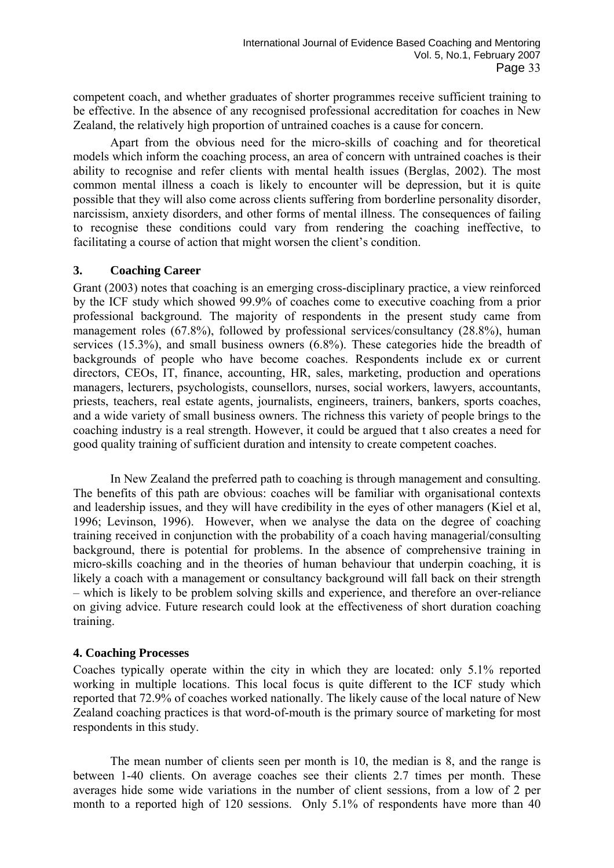competent coach, and whether graduates of shorter programmes receive sufficient training to be effective. In the absence of any recognised professional accreditation for coaches in New Zealand, the relatively high proportion of untrained coaches is a cause for concern.

 Apart from the obvious need for the micro-skills of coaching and for theoretical models which inform the coaching process, an area of concern with untrained coaches is their ability to recognise and refer clients with mental health issues (Berglas, 2002). The most common mental illness a coach is likely to encounter will be depression, but it is quite possible that they will also come across clients suffering from borderline personality disorder, narcissism, anxiety disorders, and other forms of mental illness. The consequences of failing to recognise these conditions could vary from rendering the coaching ineffective, to facilitating a course of action that might worsen the client's condition.

## **3. Coaching Career**

Grant (2003) notes that coaching is an emerging cross-disciplinary practice, a view reinforced by the ICF study which showed 99.9% of coaches come to executive coaching from a prior professional background. The majority of respondents in the present study came from management roles (67.8%), followed by professional services/consultancy (28.8%), human services (15.3%), and small business owners (6.8%). These categories hide the breadth of backgrounds of people who have become coaches. Respondents include ex or current directors, CEOs, IT, finance, accounting, HR, sales, marketing, production and operations managers, lecturers, psychologists, counsellors, nurses, social workers, lawyers, accountants, priests, teachers, real estate agents, journalists, engineers, trainers, bankers, sports coaches, and a wide variety of small business owners. The richness this variety of people brings to the coaching industry is a real strength. However, it could be argued that t also creates a need for good quality training of sufficient duration and intensity to create competent coaches.

 In New Zealand the preferred path to coaching is through management and consulting. The benefits of this path are obvious: coaches will be familiar with organisational contexts and leadership issues, and they will have credibility in the eyes of other managers (Kiel et al, 1996; Levinson, 1996). However, when we analyse the data on the degree of coaching training received in conjunction with the probability of a coach having managerial/consulting background, there is potential for problems. In the absence of comprehensive training in micro-skills coaching and in the theories of human behaviour that underpin coaching, it is likely a coach with a management or consultancy background will fall back on their strength – which is likely to be problem solving skills and experience, and therefore an over-reliance on giving advice. Future research could look at the effectiveness of short duration coaching training.

### **4. Coaching Processes**

Coaches typically operate within the city in which they are located: only 5.1% reported working in multiple locations. This local focus is quite different to the ICF study which reported that 72.9% of coaches worked nationally. The likely cause of the local nature of New Zealand coaching practices is that word-of-mouth is the primary source of marketing for most respondents in this study.

 The mean number of clients seen per month is 10, the median is 8, and the range is between 1-40 clients. On average coaches see their clients 2.7 times per month. These averages hide some wide variations in the number of client sessions, from a low of 2 per month to a reported high of 120 sessions. Only 5.1% of respondents have more than 40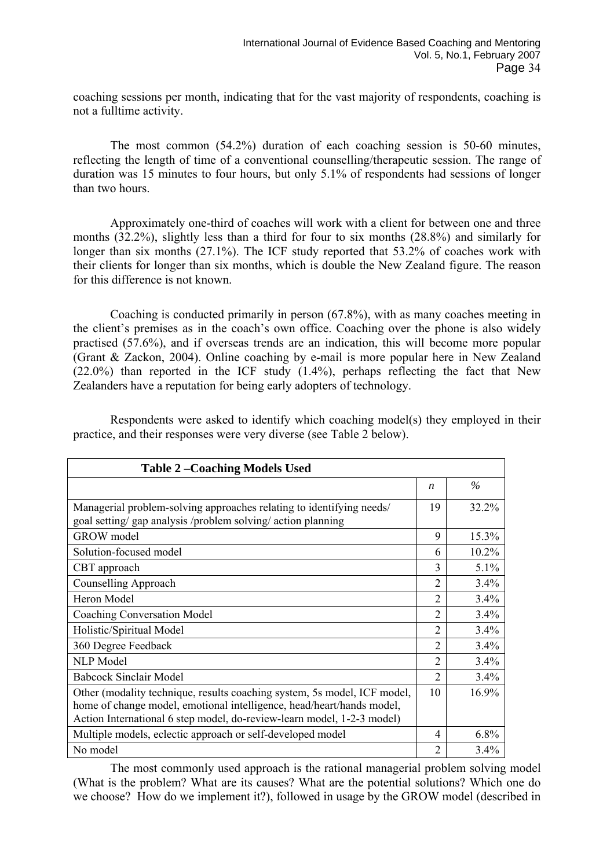coaching sessions per month, indicating that for the vast majority of respondents, coaching is not a fulltime activity.

 The most common (54.2%) duration of each coaching session is 50-60 minutes, reflecting the length of time of a conventional counselling/therapeutic session. The range of duration was 15 minutes to four hours, but only 5.1% of respondents had sessions of longer than two hours.

 Approximately one-third of coaches will work with a client for between one and three months (32.2%), slightly less than a third for four to six months (28.8%) and similarly for longer than six months (27.1%). The ICF study reported that 53.2% of coaches work with their clients for longer than six months, which is double the New Zealand figure. The reason for this difference is not known.

 Coaching is conducted primarily in person (67.8%), with as many coaches meeting in the client's premises as in the coach's own office. Coaching over the phone is also widely practised (57.6%), and if overseas trends are an indication, this will become more popular (Grant & Zackon, 2004). Online coaching by e-mail is more popular here in New Zealand (22.0%) than reported in the ICF study (1.4%), perhaps reflecting the fact that New Zealanders have a reputation for being early adopters of technology.

 Respondents were asked to identify which coaching model(s) they employed in their practice, and their responses were very diverse (see Table 2 below).

| <b>Table 2-Coaching Models Used</b>                                                                                                                                                                                         |                |       |  |  |
|-----------------------------------------------------------------------------------------------------------------------------------------------------------------------------------------------------------------------------|----------------|-------|--|--|
|                                                                                                                                                                                                                             | n              | $\%$  |  |  |
| Managerial problem-solving approaches relating to identifying needs/<br>goal setting/ gap analysis /problem solving/ action planning                                                                                        | 19             | 32.2% |  |  |
| <b>GROW</b> model                                                                                                                                                                                                           | 9              | 15.3% |  |  |
| Solution-focused model                                                                                                                                                                                                      | 6              | 10.2% |  |  |
| CBT approach                                                                                                                                                                                                                | 3              | 5.1%  |  |  |
| Counselling Approach                                                                                                                                                                                                        | 2              | 3.4%  |  |  |
| Heron Model                                                                                                                                                                                                                 | 2              | 3.4%  |  |  |
| <b>Coaching Conversation Model</b>                                                                                                                                                                                          | $\overline{2}$ | 3.4%  |  |  |
| Holistic/Spiritual Model                                                                                                                                                                                                    | $\overline{2}$ | 3.4%  |  |  |
| 360 Degree Feedback                                                                                                                                                                                                         | $\overline{2}$ | 3.4%  |  |  |
| <b>NLP</b> Model                                                                                                                                                                                                            | 2              | 3.4%  |  |  |
| <b>Babcock Sinclair Model</b>                                                                                                                                                                                               | $\mathfrak{D}$ | 3.4%  |  |  |
| Other (modality technique, results coaching system, 5s model, ICF model,<br>home of change model, emotional intelligence, head/heart/hands model,<br>Action International 6 step model, do-review-learn model, 1-2-3 model) | 10             | 16.9% |  |  |
| Multiple models, eclectic approach or self-developed model                                                                                                                                                                  | 4              | 6.8%  |  |  |
| No model                                                                                                                                                                                                                    | 2              | 3.4%  |  |  |

 The most commonly used approach is the rational managerial problem solving model (What is the problem? What are its causes? What are the potential solutions? Which one do we choose? How do we implement it?), followed in usage by the GROW model (described in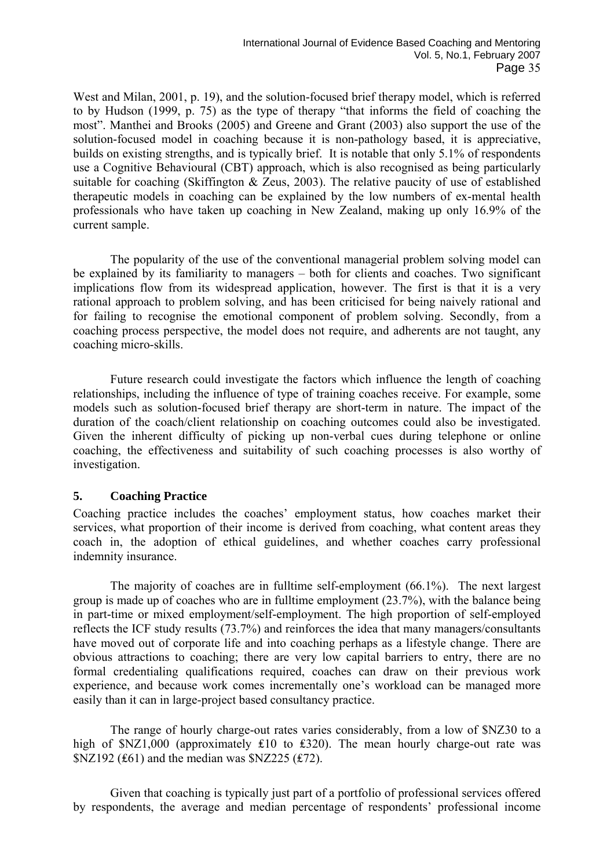West and Milan, 2001, p. 19), and the solution-focused brief therapy model, which is referred to by Hudson (1999, p. 75) as the type of therapy "that informs the field of coaching the most". Manthei and Brooks (2005) and Greene and Grant (2003) also support the use of the solution-focused model in coaching because it is non-pathology based, it is appreciative, builds on existing strengths, and is typically brief. It is notable that only 5.1% of respondents use a Cognitive Behavioural (CBT) approach, which is also recognised as being particularly suitable for coaching (Skiffington & Zeus, 2003). The relative paucity of use of established therapeutic models in coaching can be explained by the low numbers of ex-mental health professionals who have taken up coaching in New Zealand, making up only 16.9% of the current sample.

 The popularity of the use of the conventional managerial problem solving model can be explained by its familiarity to managers – both for clients and coaches. Two significant implications flow from its widespread application, however. The first is that it is a very rational approach to problem solving, and has been criticised for being naively rational and for failing to recognise the emotional component of problem solving. Secondly, from a coaching process perspective, the model does not require, and adherents are not taught, any coaching micro-skills.

 Future research could investigate the factors which influence the length of coaching relationships, including the influence of type of training coaches receive. For example, some models such as solution-focused brief therapy are short-term in nature. The impact of the duration of the coach/client relationship on coaching outcomes could also be investigated. Given the inherent difficulty of picking up non-verbal cues during telephone or online coaching, the effectiveness and suitability of such coaching processes is also worthy of investigation.

# **5. Coaching Practice**

Coaching practice includes the coaches' employment status, how coaches market their services, what proportion of their income is derived from coaching, what content areas they coach in, the adoption of ethical guidelines, and whether coaches carry professional indemnity insurance.

 The majority of coaches are in fulltime self-employment (66.1%). The next largest group is made up of coaches who are in fulltime employment (23.7%), with the balance being in part-time or mixed employment/self-employment. The high proportion of self-employed reflects the ICF study results (73.7%) and reinforces the idea that many managers/consultants have moved out of corporate life and into coaching perhaps as a lifestyle change. There are obvious attractions to coaching; there are very low capital barriers to entry, there are no formal credentialing qualifications required, coaches can draw on their previous work experience, and because work comes incrementally one's workload can be managed more easily than it can in large-project based consultancy practice.

 The range of hourly charge-out rates varies considerably, from a low of \$NZ30 to a high of \$NZ1,000 (approximately ₤10 to ₤320). The mean hourly charge-out rate was \$NZ192 (₤61) and the median was \$NZ225 (₤72).

 Given that coaching is typically just part of a portfolio of professional services offered by respondents, the average and median percentage of respondents' professional income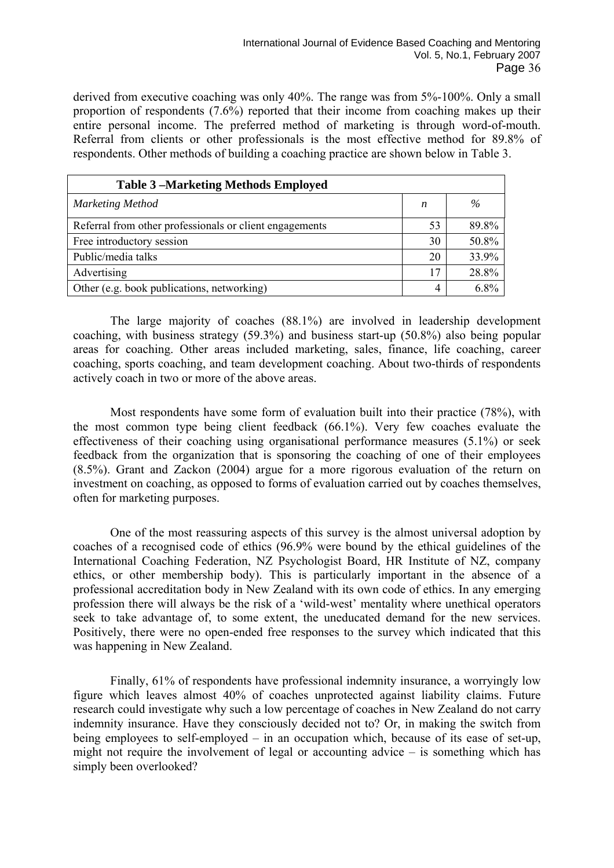derived from executive coaching was only 40%. The range was from 5%-100%. Only a small proportion of respondents (7.6%) reported that their income from coaching makes up their entire personal income. The preferred method of marketing is through word-of-mouth. Referral from clients or other professionals is the most effective method for 89.8% of respondents. Other methods of building a coaching practice are shown below in Table 3.

| <b>Table 3-Marketing Methods Employed</b>               |    |         |
|---------------------------------------------------------|----|---------|
| <b>Marketing Method</b>                                 | n  | $\%$    |
| Referral from other professionals or client engagements | 53 | 89.8%   |
| Free introductory session                               | 30 | 50.8%   |
| Public/media talks                                      | 20 | 33.9%   |
| Advertising                                             | 17 | 28.8%   |
| Other (e.g. book publications, networking)              | 4  | $6.8\%$ |

 The large majority of coaches (88.1%) are involved in leadership development coaching, with business strategy (59.3%) and business start-up (50.8%) also being popular areas for coaching. Other areas included marketing, sales, finance, life coaching, career coaching, sports coaching, and team development coaching. About two-thirds of respondents actively coach in two or more of the above areas.

 Most respondents have some form of evaluation built into their practice (78%), with the most common type being client feedback (66.1%). Very few coaches evaluate the effectiveness of their coaching using organisational performance measures (5.1%) or seek feedback from the organization that is sponsoring the coaching of one of their employees (8.5%). Grant and Zackon (2004) argue for a more rigorous evaluation of the return on investment on coaching, as opposed to forms of evaluation carried out by coaches themselves, often for marketing purposes.

 One of the most reassuring aspects of this survey is the almost universal adoption by coaches of a recognised code of ethics (96.9% were bound by the ethical guidelines of the International Coaching Federation, NZ Psychologist Board, HR Institute of NZ, company ethics, or other membership body). This is particularly important in the absence of a professional accreditation body in New Zealand with its own code of ethics. In any emerging profession there will always be the risk of a 'wild-west' mentality where unethical operators seek to take advantage of, to some extent, the uneducated demand for the new services. Positively, there were no open-ended free responses to the survey which indicated that this was happening in New Zealand.

 Finally, 61% of respondents have professional indemnity insurance, a worryingly low figure which leaves almost 40% of coaches unprotected against liability claims. Future research could investigate why such a low percentage of coaches in New Zealand do not carry indemnity insurance. Have they consciously decided not to? Or, in making the switch from being employees to self-employed – in an occupation which, because of its ease of set-up, might not require the involvement of legal or accounting advice – is something which has simply been overlooked?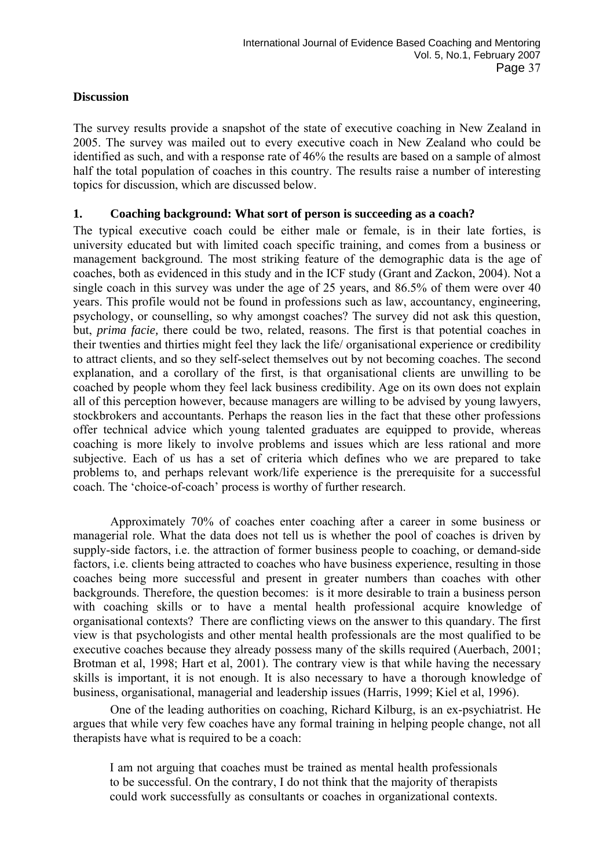## **Discussion**

The survey results provide a snapshot of the state of executive coaching in New Zealand in 2005. The survey was mailed out to every executive coach in New Zealand who could be identified as such, and with a response rate of 46% the results are based on a sample of almost half the total population of coaches in this country. The results raise a number of interesting topics for discussion, which are discussed below.

## **1. Coaching background: What sort of person is succeeding as a coach?**

The typical executive coach could be either male or female, is in their late forties, is university educated but with limited coach specific training, and comes from a business or management background. The most striking feature of the demographic data is the age of coaches, both as evidenced in this study and in the ICF study (Grant and Zackon, 2004). Not a single coach in this survey was under the age of 25 years, and 86.5% of them were over 40 years. This profile would not be found in professions such as law, accountancy, engineering, psychology, or counselling, so why amongst coaches? The survey did not ask this question, but, *prima facie,* there could be two, related, reasons. The first is that potential coaches in their twenties and thirties might feel they lack the life/ organisational experience or credibility to attract clients, and so they self-select themselves out by not becoming coaches. The second explanation, and a corollary of the first, is that organisational clients are unwilling to be coached by people whom they feel lack business credibility. Age on its own does not explain all of this perception however, because managers are willing to be advised by young lawyers, stockbrokers and accountants. Perhaps the reason lies in the fact that these other professions offer technical advice which young talented graduates are equipped to provide, whereas coaching is more likely to involve problems and issues which are less rational and more subjective. Each of us has a set of criteria which defines who we are prepared to take problems to, and perhaps relevant work/life experience is the prerequisite for a successful coach. The 'choice-of-coach' process is worthy of further research.

 Approximately 70% of coaches enter coaching after a career in some business or managerial role. What the data does not tell us is whether the pool of coaches is driven by supply-side factors, i.e. the attraction of former business people to coaching, or demand-side factors, i.e. clients being attracted to coaches who have business experience, resulting in those coaches being more successful and present in greater numbers than coaches with other backgrounds. Therefore, the question becomes: is it more desirable to train a business person with coaching skills or to have a mental health professional acquire knowledge of organisational contexts? There are conflicting views on the answer to this quandary. The first view is that psychologists and other mental health professionals are the most qualified to be executive coaches because they already possess many of the skills required (Auerbach, 2001; Brotman et al, 1998; Hart et al, 2001). The contrary view is that while having the necessary skills is important, it is not enough. It is also necessary to have a thorough knowledge of business, organisational, managerial and leadership issues (Harris, 1999; Kiel et al, 1996).

 One of the leading authorities on coaching, Richard Kilburg, is an ex-psychiatrist. He argues that while very few coaches have any formal training in helping people change, not all therapists have what is required to be a coach:

I am not arguing that coaches must be trained as mental health professionals to be successful. On the contrary, I do not think that the majority of therapists could work successfully as consultants or coaches in organizational contexts.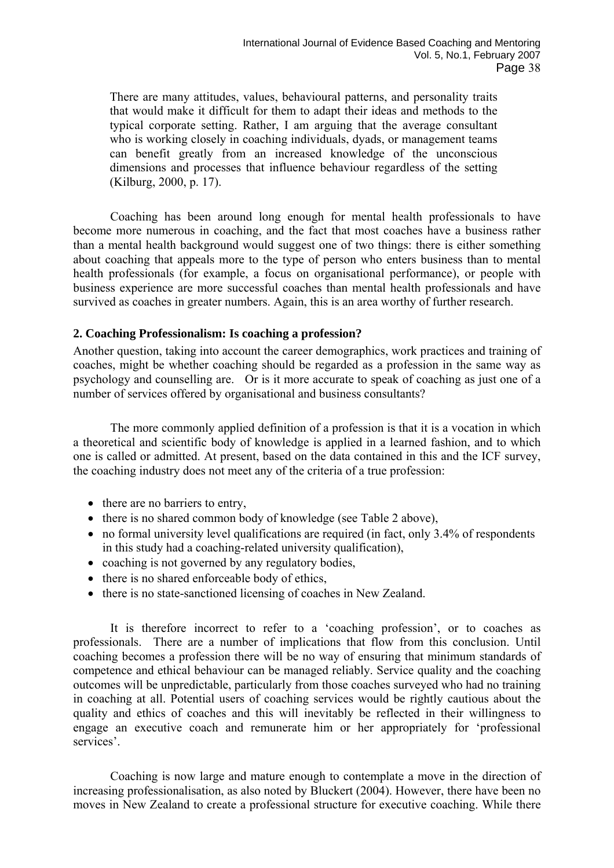There are many attitudes, values, behavioural patterns, and personality traits that would make it difficult for them to adapt their ideas and methods to the typical corporate setting. Rather, I am arguing that the average consultant who is working closely in coaching individuals, dyads, or management teams can benefit greatly from an increased knowledge of the unconscious dimensions and processes that influence behaviour regardless of the setting (Kilburg, 2000, p. 17).

 Coaching has been around long enough for mental health professionals to have become more numerous in coaching, and the fact that most coaches have a business rather than a mental health background would suggest one of two things: there is either something about coaching that appeals more to the type of person who enters business than to mental health professionals (for example, a focus on organisational performance), or people with business experience are more successful coaches than mental health professionals and have survived as coaches in greater numbers. Again, this is an area worthy of further research.

## **2. Coaching Professionalism: Is coaching a profession?**

Another question, taking into account the career demographics, work practices and training of coaches, might be whether coaching should be regarded as a profession in the same way as psychology and counselling are. Or is it more accurate to speak of coaching as just one of a number of services offered by organisational and business consultants?

 The more commonly applied definition of a profession is that it is a vocation in which a theoretical and scientific body of knowledge is applied in a learned fashion, and to which one is called or admitted. At present, based on the data contained in this and the ICF survey, the coaching industry does not meet any of the criteria of a true profession:

- there are no barriers to entry.
- there is no shared common body of knowledge (see Table 2 above),
- no formal university level qualifications are required (in fact, only 3.4% of respondents in this study had a coaching-related university qualification),
- coaching is not governed by any regulatory bodies,
- there is no shared enforceable body of ethics,
- there is no state-sanctioned licensing of coaches in New Zealand.

 It is therefore incorrect to refer to a 'coaching profession', or to coaches as professionals. There are a number of implications that flow from this conclusion. Until coaching becomes a profession there will be no way of ensuring that minimum standards of competence and ethical behaviour can be managed reliably. Service quality and the coaching outcomes will be unpredictable, particularly from those coaches surveyed who had no training in coaching at all. Potential users of coaching services would be rightly cautious about the quality and ethics of coaches and this will inevitably be reflected in their willingness to engage an executive coach and remunerate him or her appropriately for 'professional services'.

 Coaching is now large and mature enough to contemplate a move in the direction of increasing professionalisation, as also noted by Bluckert (2004). However, there have been no moves in New Zealand to create a professional structure for executive coaching. While there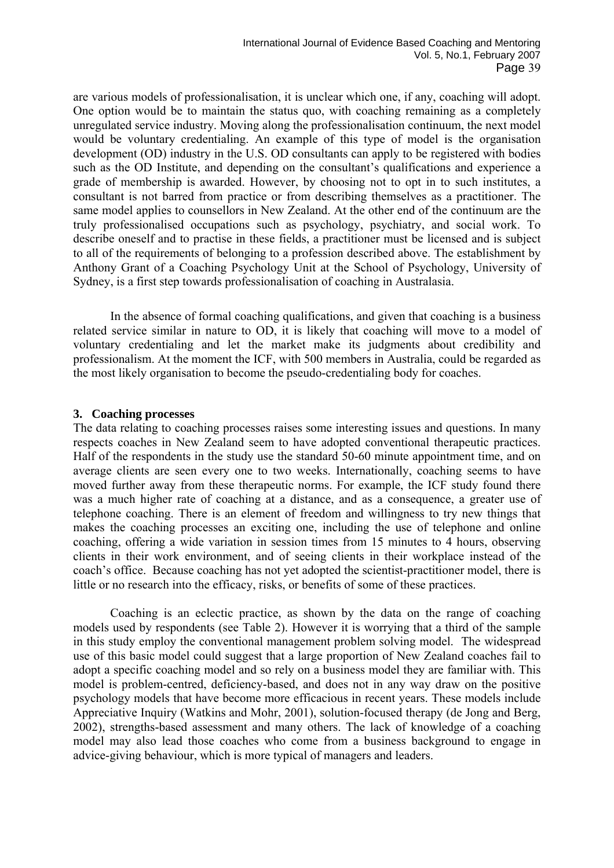are various models of professionalisation, it is unclear which one, if any, coaching will adopt. One option would be to maintain the status quo, with coaching remaining as a completely unregulated service industry. Moving along the professionalisation continuum, the next model would be voluntary credentialing. An example of this type of model is the organisation development (OD) industry in the U.S. OD consultants can apply to be registered with bodies such as the OD Institute, and depending on the consultant's qualifications and experience a grade of membership is awarded. However, by choosing not to opt in to such institutes, a consultant is not barred from practice or from describing themselves as a practitioner. The same model applies to counsellors in New Zealand. At the other end of the continuum are the truly professionalised occupations such as psychology, psychiatry, and social work. To describe oneself and to practise in these fields, a practitioner must be licensed and is subject to all of the requirements of belonging to a profession described above. The establishment by Anthony Grant of a Coaching Psychology Unit at the School of Psychology, University of Sydney, is a first step towards professionalisation of coaching in Australasia.

 In the absence of formal coaching qualifications, and given that coaching is a business related service similar in nature to OD, it is likely that coaching will move to a model of voluntary credentialing and let the market make its judgments about credibility and professionalism. At the moment the ICF, with 500 members in Australia, could be regarded as the most likely organisation to become the pseudo-credentialing body for coaches.

### **3. Coaching processes**

The data relating to coaching processes raises some interesting issues and questions. In many respects coaches in New Zealand seem to have adopted conventional therapeutic practices. Half of the respondents in the study use the standard 50-60 minute appointment time, and on average clients are seen every one to two weeks. Internationally, coaching seems to have moved further away from these therapeutic norms. For example, the ICF study found there was a much higher rate of coaching at a distance, and as a consequence, a greater use of telephone coaching. There is an element of freedom and willingness to try new things that makes the coaching processes an exciting one, including the use of telephone and online coaching, offering a wide variation in session times from 15 minutes to 4 hours, observing clients in their work environment, and of seeing clients in their workplace instead of the coach's office. Because coaching has not yet adopted the scientist-practitioner model, there is little or no research into the efficacy, risks, or benefits of some of these practices.

 Coaching is an eclectic practice, as shown by the data on the range of coaching models used by respondents (see Table 2). However it is worrying that a third of the sample in this study employ the conventional management problem solving model. The widespread use of this basic model could suggest that a large proportion of New Zealand coaches fail to adopt a specific coaching model and so rely on a business model they are familiar with. This model is problem-centred, deficiency-based, and does not in any way draw on the positive psychology models that have become more efficacious in recent years. These models include Appreciative Inquiry (Watkins and Mohr, 2001), solution-focused therapy (de Jong and Berg, 2002), strengths-based assessment and many others. The lack of knowledge of a coaching model may also lead those coaches who come from a business background to engage in advice-giving behaviour, which is more typical of managers and leaders.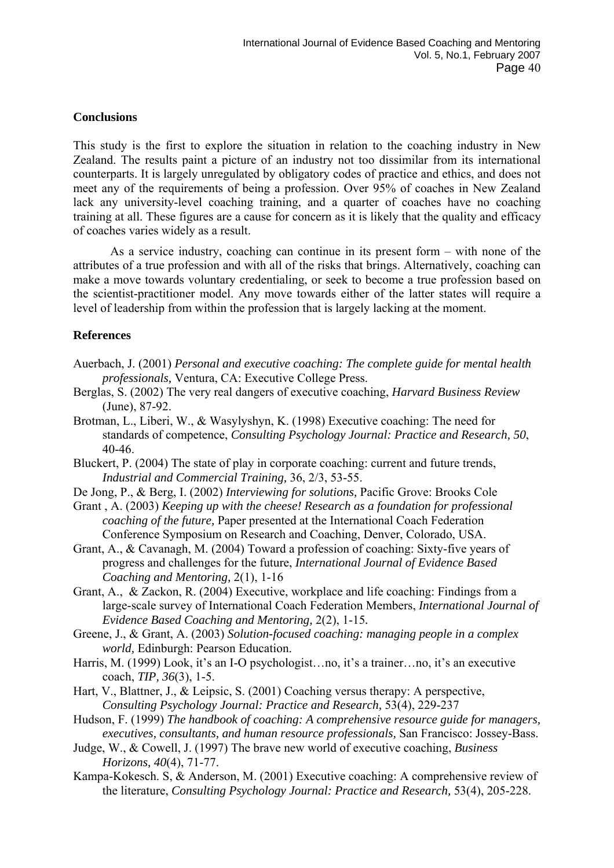### **Conclusions**

This study is the first to explore the situation in relation to the coaching industry in New Zealand. The results paint a picture of an industry not too dissimilar from its international counterparts. It is largely unregulated by obligatory codes of practice and ethics, and does not meet any of the requirements of being a profession. Over 95% of coaches in New Zealand lack any university-level coaching training, and a quarter of coaches have no coaching training at all. These figures are a cause for concern as it is likely that the quality and efficacy of coaches varies widely as a result.

 As a service industry, coaching can continue in its present form – with none of the attributes of a true profession and with all of the risks that brings. Alternatively, coaching can make a move towards voluntary credentialing, or seek to become a true profession based on the scientist-practitioner model. Any move towards either of the latter states will require a level of leadership from within the profession that is largely lacking at the moment.

#### **References**

- Auerbach, J. (2001) *Personal and executive coaching: The complete guide for mental health professionals,* Ventura, CA: Executive College Press.
- Berglas, S. (2002) The very real dangers of executive coaching, *Harvard Business Review*  (June), 87-92.
- Brotman, L., Liberi, W., & Wasylyshyn, K. (1998) Executive coaching: The need for standards of competence, *Consulting Psychology Journal: Practice and Research, 50*, 40-46.
- Bluckert, P. (2004) The state of play in corporate coaching: current and future trends, *Industrial and Commercial Training,* 36, 2/3, 53-55.
- De Jong, P., & Berg, I. (2002) *Interviewing for solutions,* Pacific Grove: Brooks Cole
- Grant , A. (2003) *Keeping up with the cheese! Research as a foundation for professional coaching of the future,* Paper presented at the International Coach Federation Conference Symposium on Research and Coaching, Denver, Colorado, USA.
- Grant, A., & Cavanagh, M. (2004) Toward a profession of coaching: Sixty-five years of progress and challenges for the future, *International Journal of Evidence Based Coaching and Mentoring,* 2(1), 1-16
- Grant, A., & Zackon, R. (2004) Executive, workplace and life coaching: Findings from a large-scale survey of International Coach Federation Members, *International Journal of Evidence Based Coaching and Mentoring,* 2(2), 1-15*.*
- Greene, J., & Grant, A. (2003) *Solution-focused coaching: managing people in a complex world,* Edinburgh: Pearson Education.
- Harris, M. (1999) Look, it's an I-O psychologist…no, it's a trainer…no, it's an executive coach, *TIP, 36*(3), 1-5.
- Hart, V., Blattner, J., & Leipsic, S. (2001) Coaching versus therapy: A perspective, *Consulting Psychology Journal: Practice and Research,* 53(4), 229-237
- Hudson, F. (1999) *The handbook of coaching: A comprehensive resource guide for managers, executives, consultants, and human resource professionals,* San Francisco: Jossey-Bass.
- Judge, W., & Cowell, J. (1997) The brave new world of executive coaching, *Business Horizons, 40*(4), 71-77.
- Kampa-Kokesch. S, & Anderson, M. (2001) Executive coaching: A comprehensive review of the literature, *Consulting Psychology Journal: Practice and Research,* 53(4), 205-228.